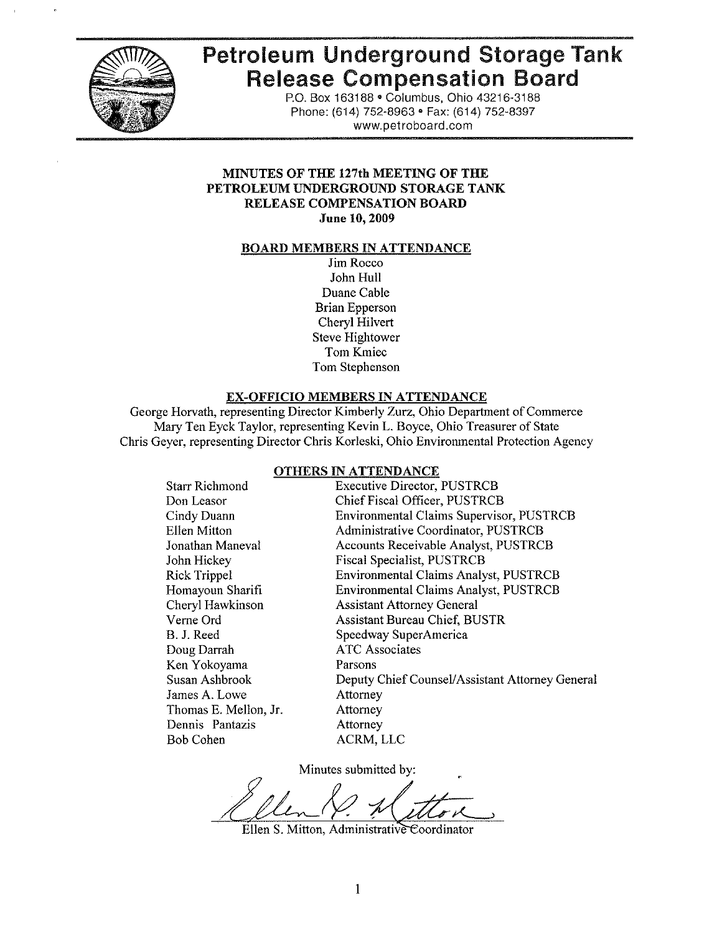

# Petroleum Underground Storage Tank Release Compensation Board

P.O. Box 163188· Columbus, Ohio 43216-3188 Phone: (614) 752-8963 · Fax: (614) 752-8397 www.petroboard.com

#### MINUTES OF THE 127th MEETING OF THE PETROLEUM UNDERGROUND STORAGE TANK RELEASE COMPENSATION BOARD June 10, 2009

#### BOARD MEMBERS IN ATTENDANCE

Jim Rocco John Hull Duane Cable Brian Epperson Cheryl Hilvert Steve Hightower Tom Kmiec Tom Stephenson

#### EX-OFFICIO MEMBERS IN ATTENDANCE

George Horvath, representing Director Kimberly Zurz, Ohio Department of Commerce Mary Ten Eyck Taylor, representing Kevin L. Boyce, Ohio Treasurer of State Chris Geyer, representing Director Chris Korleski, Ohio Environmental Protection Agency

#### OTHERS IN ATTENDANCE

| <b>Starr Richmond</b> | <b>Executive Director, PUSTRCB</b>              |
|-----------------------|-------------------------------------------------|
| Don Leasor            | Chief Fiscal Officer, PUSTRCB                   |
| Cindy Duann           | <b>Environmental Claims Supervisor, PUSTRCB</b> |
| Ellen Mitton          | Administrative Coordinator, PUSTRCB             |
| Jonathan Maneval      | <b>Accounts Receivable Analyst, PUSTRCB</b>     |
| John Hickey           | Fiscal Specialist, PUSTRCB                      |
| <b>Rick Trippel</b>   | Environmental Claims Analyst, PUSTRCB           |
| Homayoun Sharifi      | Environmental Claims Analyst, PUSTRCB           |
| Cheryl Hawkinson      | <b>Assistant Attorney General</b>               |
| Verne Ord             | Assistant Bureau Chief, BUSTR                   |
| B. J. Reed            | Speedway SuperAmerica                           |
| Doug Darrah           | <b>ATC</b> Associates                           |
| Ken Yokoyama          | Parsons                                         |
| Susan Ashbrook        | Deputy Chief Counsel/Assistant Attorney General |
| James A. Lowe         | Attorney                                        |
| Thomas E. Mellon, Jr. | Attorney                                        |
| Dennis Pantazis       | Attorney                                        |
| Bob Cohen             | ACRM, LLC                                       |

Minutes submitted by:

Ellen S. Mitton, Administrative Coordinator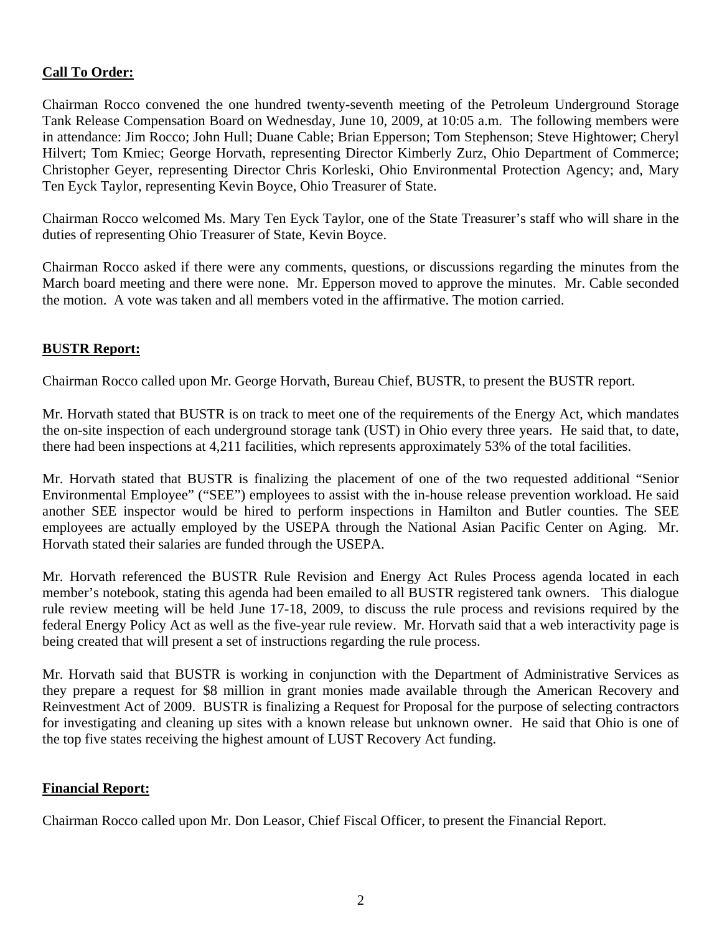# **Call To Order:**

Chairman Rocco convened the one hundred twenty-seventh meeting of the Petroleum Underground Storage Tank Release Compensation Board on Wednesday, June 10, 2009, at 10:05 a.m. The following members were in attendance: Jim Rocco; John Hull; Duane Cable; Brian Epperson; Tom Stephenson; Steve Hightower; Cheryl Hilvert; Tom Kmiec; George Horvath, representing Director Kimberly Zurz, Ohio Department of Commerce; Christopher Geyer, representing Director Chris Korleski, Ohio Environmental Protection Agency; and, Mary Ten Eyck Taylor, representing Kevin Boyce, Ohio Treasurer of State.

Chairman Rocco welcomed Ms. Mary Ten Eyck Taylor, one of the State Treasurer's staff who will share in the duties of representing Ohio Treasurer of State, Kevin Boyce.

Chairman Rocco asked if there were any comments, questions, or discussions regarding the minutes from the March board meeting and there were none. Mr. Epperson moved to approve the minutes. Mr. Cable seconded the motion. A vote was taken and all members voted in the affirmative. The motion carried.

# **BUSTR Report:**

Chairman Rocco called upon Mr. George Horvath, Bureau Chief, BUSTR, to present the BUSTR report.

Mr. Horvath stated that BUSTR is on track to meet one of the requirements of the Energy Act, which mandates the on-site inspection of each underground storage tank (UST) in Ohio every three years. He said that, to date, there had been inspections at 4,211 facilities, which represents approximately 53% of the total facilities.

Mr. Horvath stated that BUSTR is finalizing the placement of one of the two requested additional "Senior Environmental Employee" ("SEE") employees to assist with the in-house release prevention workload. He said another SEE inspector would be hired to perform inspections in Hamilton and Butler counties. The SEE employees are actually employed by the USEPA through the National Asian Pacific Center on Aging. Mr. Horvath stated their salaries are funded through the USEPA.

Mr. Horvath referenced the BUSTR Rule Revision and Energy Act Rules Process agenda located in each member's notebook, stating this agenda had been emailed to all BUSTR registered tank owners. This dialogue rule review meeting will be held June 17-18, 2009, to discuss the rule process and revisions required by the federal Energy Policy Act as well as the five-year rule review. Mr. Horvath said that a web interactivity page is being created that will present a set of instructions regarding the rule process.

Mr. Horvath said that BUSTR is working in conjunction with the Department of Administrative Services as they prepare a request for \$8 million in grant monies made available through the American Recovery and Reinvestment Act of 2009. BUSTR is finalizing a Request for Proposal for the purpose of selecting contractors for investigating and cleaning up sites with a known release but unknown owner. He said that Ohio is one of the top five states receiving the highest amount of LUST Recovery Act funding.

# **Financial Report:**

Chairman Rocco called upon Mr. Don Leasor, Chief Fiscal Officer, to present the Financial Report.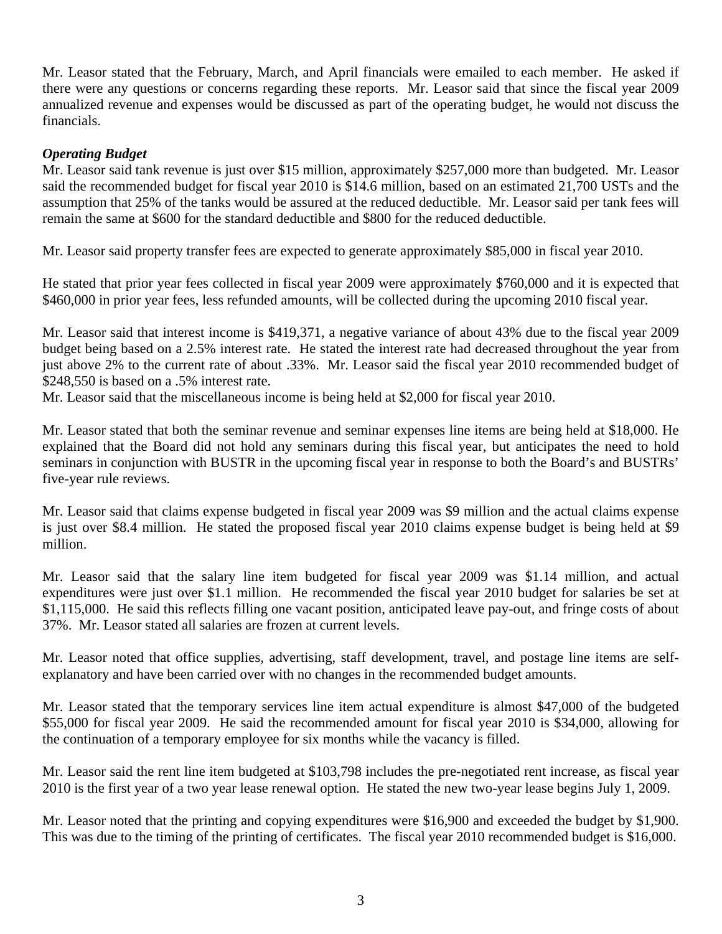Mr. Leasor stated that the February, March, and April financials were emailed to each member. He asked if there were any questions or concerns regarding these reports. Mr. Leasor said that since the fiscal year 2009 annualized revenue and expenses would be discussed as part of the operating budget, he would not discuss the financials.

# *Operating Budget*

Mr. Leasor said tank revenue is just over \$15 million, approximately \$257,000 more than budgeted. Mr. Leasor said the recommended budget for fiscal year 2010 is \$14.6 million, based on an estimated 21,700 USTs and the assumption that 25% of the tanks would be assured at the reduced deductible. Mr. Leasor said per tank fees will remain the same at \$600 for the standard deductible and \$800 for the reduced deductible.

Mr. Leasor said property transfer fees are expected to generate approximately \$85,000 in fiscal year 2010.

He stated that prior year fees collected in fiscal year 2009 were approximately \$760,000 and it is expected that \$460,000 in prior year fees, less refunded amounts, will be collected during the upcoming 2010 fiscal year.

Mr. Leasor said that interest income is \$419,371, a negative variance of about 43% due to the fiscal year 2009 budget being based on a 2.5% interest rate. He stated the interest rate had decreased throughout the year from just above 2% to the current rate of about .33%. Mr. Leasor said the fiscal year 2010 recommended budget of \$248,550 is based on a .5% interest rate.

Mr. Leasor said that the miscellaneous income is being held at \$2,000 for fiscal year 2010.

Mr. Leasor stated that both the seminar revenue and seminar expenses line items are being held at \$18,000. He explained that the Board did not hold any seminars during this fiscal year, but anticipates the need to hold seminars in conjunction with BUSTR in the upcoming fiscal year in response to both the Board's and BUSTRs' five-year rule reviews.

Mr. Leasor said that claims expense budgeted in fiscal year 2009 was \$9 million and the actual claims expense is just over \$8.4 million. He stated the proposed fiscal year 2010 claims expense budget is being held at \$9 million.

Mr. Leasor said that the salary line item budgeted for fiscal year 2009 was \$1.14 million, and actual expenditures were just over \$1.1 million. He recommended the fiscal year 2010 budget for salaries be set at \$1,115,000. He said this reflects filling one vacant position, anticipated leave pay-out, and fringe costs of about 37%. Mr. Leasor stated all salaries are frozen at current levels.

Mr. Leasor noted that office supplies, advertising, staff development, travel, and postage line items are selfexplanatory and have been carried over with no changes in the recommended budget amounts.

Mr. Leasor stated that the temporary services line item actual expenditure is almost \$47,000 of the budgeted \$55,000 for fiscal year 2009. He said the recommended amount for fiscal year 2010 is \$34,000, allowing for the continuation of a temporary employee for six months while the vacancy is filled.

Mr. Leasor said the rent line item budgeted at \$103,798 includes the pre-negotiated rent increase, as fiscal year 2010 is the first year of a two year lease renewal option. He stated the new two-year lease begins July 1, 2009.

Mr. Leasor noted that the printing and copying expenditures were \$16,900 and exceeded the budget by \$1,900. This was due to the timing of the printing of certificates. The fiscal year 2010 recommended budget is \$16,000.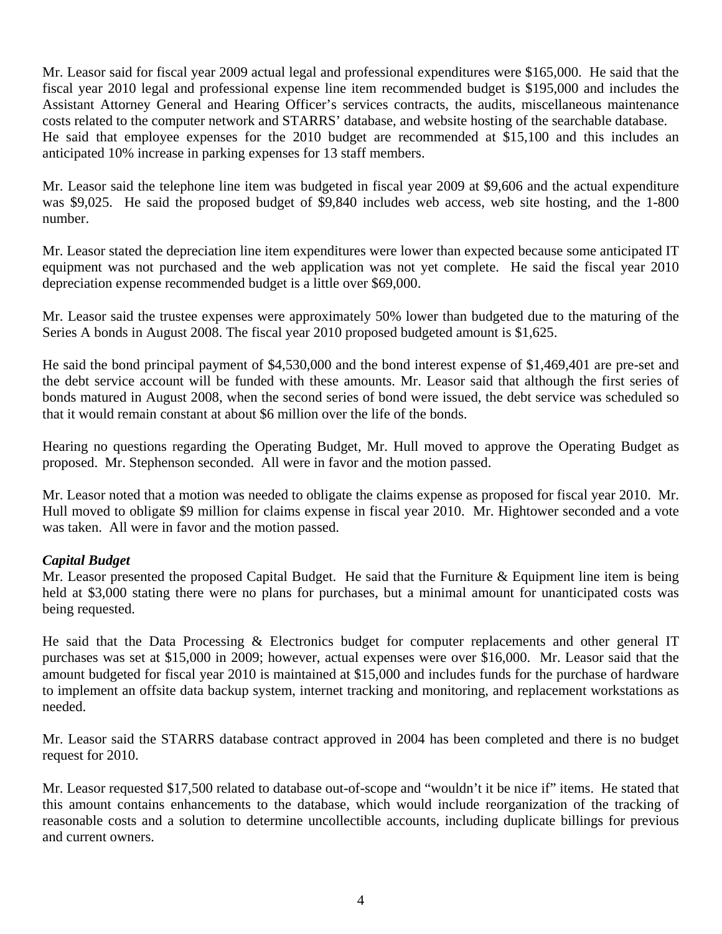Mr. Leasor said for fiscal year 2009 actual legal and professional expenditures were \$165,000. He said that the fiscal year 2010 legal and professional expense line item recommended budget is \$195,000 and includes the Assistant Attorney General and Hearing Officer's services contracts, the audits, miscellaneous maintenance costs related to the computer network and STARRS' database, and website hosting of the searchable database. He said that employee expenses for the 2010 budget are recommended at \$15,100 and this includes an anticipated 10% increase in parking expenses for 13 staff members.

Mr. Leasor said the telephone line item was budgeted in fiscal year 2009 at \$9,606 and the actual expenditure was \$9,025. He said the proposed budget of \$9,840 includes web access, web site hosting, and the 1-800 number.

Mr. Leasor stated the depreciation line item expenditures were lower than expected because some anticipated IT equipment was not purchased and the web application was not yet complete. He said the fiscal year 2010 depreciation expense recommended budget is a little over \$69,000.

Mr. Leasor said the trustee expenses were approximately 50% lower than budgeted due to the maturing of the Series A bonds in August 2008. The fiscal year 2010 proposed budgeted amount is \$1,625.

He said the bond principal payment of \$4,530,000 and the bond interest expense of \$1,469,401 are pre-set and the debt service account will be funded with these amounts. Mr. Leasor said that although the first series of bonds matured in August 2008, when the second series of bond were issued, the debt service was scheduled so that it would remain constant at about \$6 million over the life of the bonds.

Hearing no questions regarding the Operating Budget, Mr. Hull moved to approve the Operating Budget as proposed. Mr. Stephenson seconded. All were in favor and the motion passed.

Mr. Leasor noted that a motion was needed to obligate the claims expense as proposed for fiscal year 2010. Mr. Hull moved to obligate \$9 million for claims expense in fiscal year 2010. Mr. Hightower seconded and a vote was taken. All were in favor and the motion passed.

# *Capital Budget*

Mr. Leasor presented the proposed Capital Budget. He said that the Furniture & Equipment line item is being held at \$3,000 stating there were no plans for purchases, but a minimal amount for unanticipated costs was being requested.

He said that the Data Processing & Electronics budget for computer replacements and other general IT purchases was set at \$15,000 in 2009; however, actual expenses were over \$16,000. Mr. Leasor said that the amount budgeted for fiscal year 2010 is maintained at \$15,000 and includes funds for the purchase of hardware to implement an offsite data backup system, internet tracking and monitoring, and replacement workstations as needed.

Mr. Leasor said the STARRS database contract approved in 2004 has been completed and there is no budget request for 2010.

Mr. Leasor requested \$17,500 related to database out-of-scope and "wouldn't it be nice if" items. He stated that this amount contains enhancements to the database, which would include reorganization of the tracking of reasonable costs and a solution to determine uncollectible accounts, including duplicate billings for previous and current owners.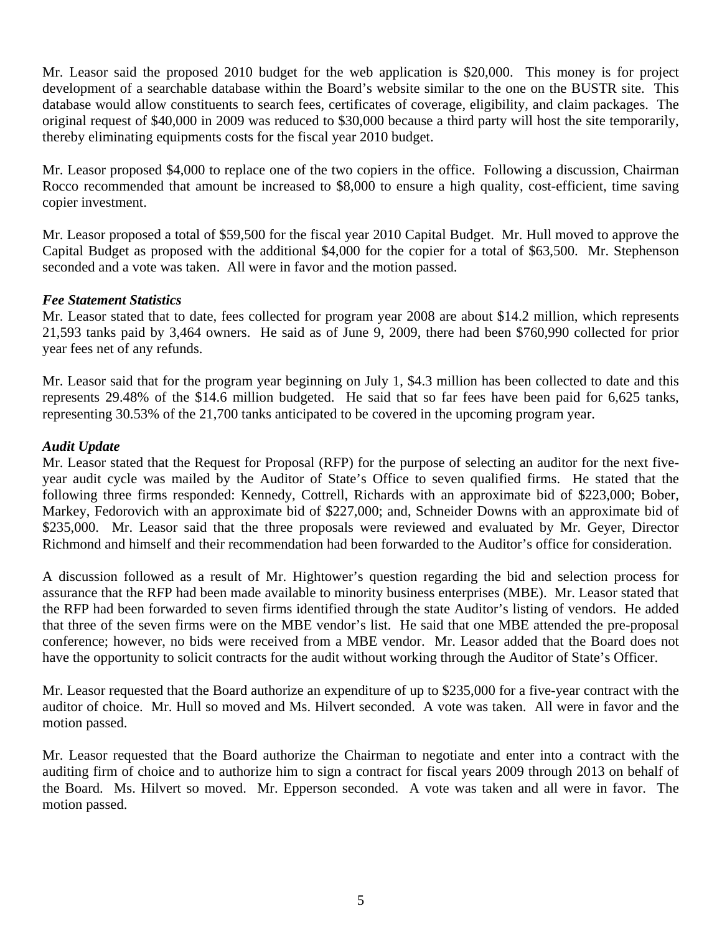Mr. Leasor said the proposed 2010 budget for the web application is \$20,000. This money is for project development of a searchable database within the Board's website similar to the one on the BUSTR site. This database would allow constituents to search fees, certificates of coverage, eligibility, and claim packages. The original request of \$40,000 in 2009 was reduced to \$30,000 because a third party will host the site temporarily, thereby eliminating equipments costs for the fiscal year 2010 budget.

Mr. Leasor proposed \$4,000 to replace one of the two copiers in the office. Following a discussion, Chairman Rocco recommended that amount be increased to \$8,000 to ensure a high quality, cost-efficient, time saving copier investment.

Mr. Leasor proposed a total of \$59,500 for the fiscal year 2010 Capital Budget. Mr. Hull moved to approve the Capital Budget as proposed with the additional \$4,000 for the copier for a total of \$63,500. Mr. Stephenson seconded and a vote was taken. All were in favor and the motion passed.

## *Fee Statement Statistics*

Mr. Leasor stated that to date, fees collected for program year 2008 are about \$14.2 million, which represents 21,593 tanks paid by 3,464 owners. He said as of June 9, 2009, there had been \$760,990 collected for prior year fees net of any refunds.

Mr. Leasor said that for the program year beginning on July 1, \$4.3 million has been collected to date and this represents 29.48% of the \$14.6 million budgeted. He said that so far fees have been paid for 6,625 tanks, representing 30.53% of the 21,700 tanks anticipated to be covered in the upcoming program year.

# *Audit Update*

Mr. Leasor stated that the Request for Proposal (RFP) for the purpose of selecting an auditor for the next fiveyear audit cycle was mailed by the Auditor of State's Office to seven qualified firms. He stated that the following three firms responded: Kennedy, Cottrell, Richards with an approximate bid of \$223,000; Bober, Markey, Fedorovich with an approximate bid of \$227,000; and, Schneider Downs with an approximate bid of \$235,000. Mr. Leasor said that the three proposals were reviewed and evaluated by Mr. Geyer, Director Richmond and himself and their recommendation had been forwarded to the Auditor's office for consideration.

A discussion followed as a result of Mr. Hightower's question regarding the bid and selection process for assurance that the RFP had been made available to minority business enterprises (MBE). Mr. Leasor stated that the RFP had been forwarded to seven firms identified through the state Auditor's listing of vendors. He added that three of the seven firms were on the MBE vendor's list. He said that one MBE attended the pre-proposal conference; however, no bids were received from a MBE vendor. Mr. Leasor added that the Board does not have the opportunity to solicit contracts for the audit without working through the Auditor of State's Officer.

Mr. Leasor requested that the Board authorize an expenditure of up to \$235,000 for a five-year contract with the auditor of choice. Mr. Hull so moved and Ms. Hilvert seconded. A vote was taken. All were in favor and the motion passed.

Mr. Leasor requested that the Board authorize the Chairman to negotiate and enter into a contract with the auditing firm of choice and to authorize him to sign a contract for fiscal years 2009 through 2013 on behalf of the Board. Ms. Hilvert so moved. Mr. Epperson seconded. A vote was taken and all were in favor. The motion passed.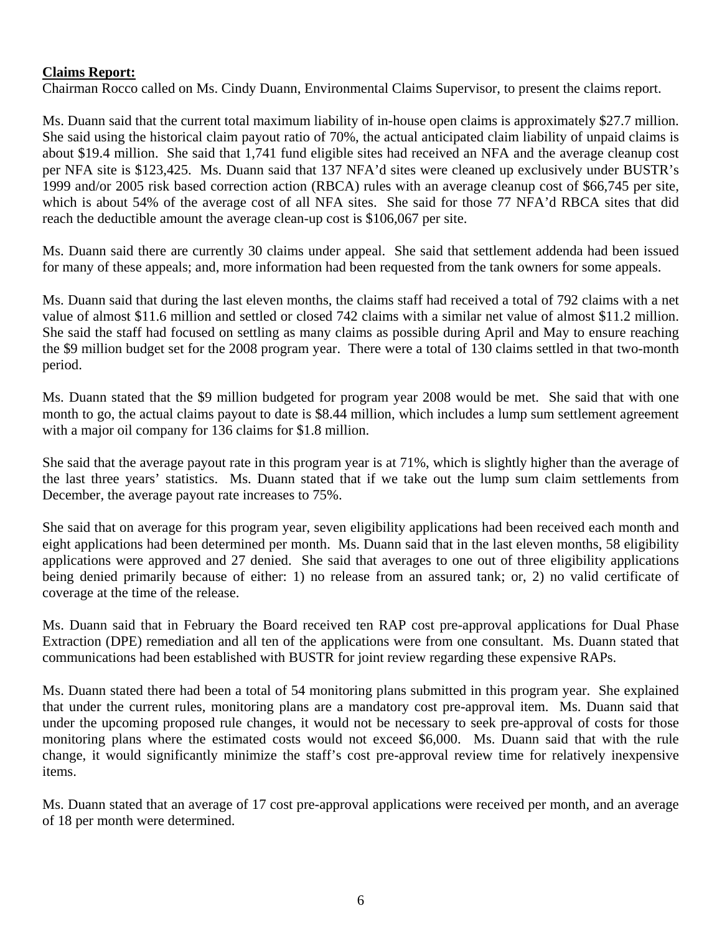## **Claims Report:**

Chairman Rocco called on Ms. Cindy Duann, Environmental Claims Supervisor, to present the claims report.

Ms. Duann said that the current total maximum liability of in-house open claims is approximately \$27.7 million. She said using the historical claim payout ratio of 70%, the actual anticipated claim liability of unpaid claims is about \$19.4 million. She said that 1,741 fund eligible sites had received an NFA and the average cleanup cost per NFA site is \$123,425. Ms. Duann said that 137 NFA'd sites were cleaned up exclusively under BUSTR's 1999 and/or 2005 risk based correction action (RBCA) rules with an average cleanup cost of \$66,745 per site, which is about 54% of the average cost of all NFA sites. She said for those 77 NFA'd RBCA sites that did reach the deductible amount the average clean-up cost is \$106,067 per site.

Ms. Duann said there are currently 30 claims under appeal. She said that settlement addenda had been issued for many of these appeals; and, more information had been requested from the tank owners for some appeals.

Ms. Duann said that during the last eleven months, the claims staff had received a total of 792 claims with a net value of almost \$11.6 million and settled or closed 742 claims with a similar net value of almost \$11.2 million. She said the staff had focused on settling as many claims as possible during April and May to ensure reaching the \$9 million budget set for the 2008 program year. There were a total of 130 claims settled in that two-month period.

Ms. Duann stated that the \$9 million budgeted for program year 2008 would be met. She said that with one month to go, the actual claims payout to date is \$8.44 million, which includes a lump sum settlement agreement with a major oil company for 136 claims for \$1.8 million.

She said that the average payout rate in this program year is at 71%, which is slightly higher than the average of the last three years' statistics. Ms. Duann stated that if we take out the lump sum claim settlements from December, the average payout rate increases to 75%.

She said that on average for this program year, seven eligibility applications had been received each month and eight applications had been determined per month. Ms. Duann said that in the last eleven months, 58 eligibility applications were approved and 27 denied. She said that averages to one out of three eligibility applications being denied primarily because of either: 1) no release from an assured tank; or, 2) no valid certificate of coverage at the time of the release.

Ms. Duann said that in February the Board received ten RAP cost pre-approval applications for Dual Phase Extraction (DPE) remediation and all ten of the applications were from one consultant. Ms. Duann stated that communications had been established with BUSTR for joint review regarding these expensive RAPs.

Ms. Duann stated there had been a total of 54 monitoring plans submitted in this program year. She explained that under the current rules, monitoring plans are a mandatory cost pre-approval item. Ms. Duann said that under the upcoming proposed rule changes, it would not be necessary to seek pre-approval of costs for those monitoring plans where the estimated costs would not exceed \$6,000. Ms. Duann said that with the rule change, it would significantly minimize the staff's cost pre-approval review time for relatively inexpensive items.

Ms. Duann stated that an average of 17 cost pre-approval applications were received per month, and an average of 18 per month were determined.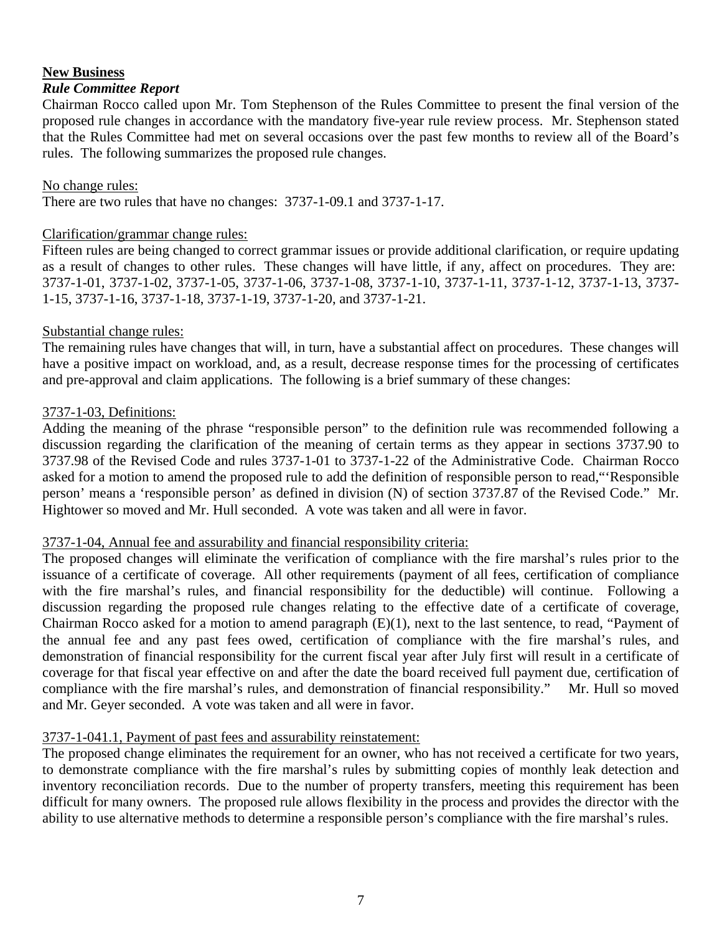#### **New Business** *Rule Committee Report*

Chairman Rocco called upon Mr. Tom Stephenson of the Rules Committee to present the final version of the proposed rule changes in accordance with the mandatory five-year rule review process. Mr. Stephenson stated that the Rules Committee had met on several occasions over the past few months to review all of the Board's rules. The following summarizes the proposed rule changes.

#### No change rules:

There are two rules that have no changes: 3737-1-09.1 and 3737-1-17.

## Clarification/grammar change rules:

Fifteen rules are being changed to correct grammar issues or provide additional clarification, or require updating as a result of changes to other rules. These changes will have little, if any, affect on procedures. They are: 3737-1-01, 3737-1-02, 3737-1-05, 3737-1-06, 3737-1-08, 3737-1-10, 3737-1-11, 3737-1-12, 3737-1-13, 3737- 1-15, 3737-1-16, 3737-1-18, 3737-1-19, 3737-1-20, and 3737-1-21.

## Substantial change rules:

The remaining rules have changes that will, in turn, have a substantial affect on procedures. These changes will have a positive impact on workload, and, as a result, decrease response times for the processing of certificates and pre-approval and claim applications. The following is a brief summary of these changes:

## 3737-1-03, Definitions:

Adding the meaning of the phrase "responsible person" to the definition rule was recommended following a discussion regarding the clarification of the meaning of certain terms as they appear in sections 3737.90 to 3737.98 of the Revised Code and rules 3737-1-01 to 3737-1-22 of the Administrative Code. Chairman Rocco asked for a motion to amend the proposed rule to add the definition of responsible person to read,"'Responsible person' means a 'responsible person' as defined in division (N) of section 3737.87 of the Revised Code." Mr. Hightower so moved and Mr. Hull seconded. A vote was taken and all were in favor.

# 3737-1-04, Annual fee and assurability and financial responsibility criteria:

The proposed changes will eliminate the verification of compliance with the fire marshal's rules prior to the issuance of a certificate of coverage. All other requirements (payment of all fees, certification of compliance with the fire marshal's rules, and financial responsibility for the deductible) will continue. Following a discussion regarding the proposed rule changes relating to the effective date of a certificate of coverage, Chairman Rocco asked for a motion to amend paragraph (E)(1), next to the last sentence, to read, "Payment of the annual fee and any past fees owed, certification of compliance with the fire marshal's rules, and demonstration of financial responsibility for the current fiscal year after July first will result in a certificate of coverage for that fiscal year effective on and after the date the board received full payment due, certification of compliance with the fire marshal's rules, and demonstration of financial responsibility." Mr. Hull so moved and Mr. Geyer seconded. A vote was taken and all were in favor.

# 3737-1-041.1, Payment of past fees and assurability reinstatement:

The proposed change eliminates the requirement for an owner, who has not received a certificate for two years, to demonstrate compliance with the fire marshal's rules by submitting copies of monthly leak detection and inventory reconciliation records. Due to the number of property transfers, meeting this requirement has been difficult for many owners. The proposed rule allows flexibility in the process and provides the director with the ability to use alternative methods to determine a responsible person's compliance with the fire marshal's rules.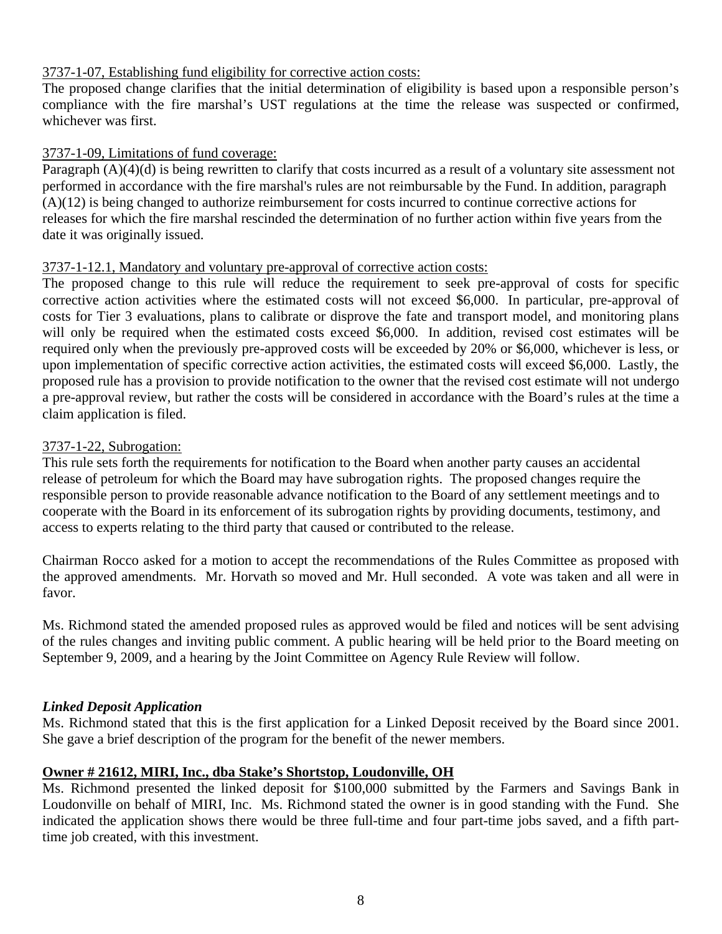# 3737-1-07, Establishing fund eligibility for corrective action costs:

The proposed change clarifies that the initial determination of eligibility is based upon a responsible person's compliance with the fire marshal's UST regulations at the time the release was suspected or confirmed, whichever was first.

#### 3737-1-09, Limitations of fund coverage:

Paragraph (A)(4)(d) is being rewritten to clarify that costs incurred as a result of a voluntary site assessment not performed in accordance with the fire marshal's rules are not reimbursable by the Fund. In addition, paragraph (A)(12) is being changed to authorize reimbursement for costs incurred to continue corrective actions for releases for which the fire marshal rescinded the determination of no further action within five years from the date it was originally issued.

## 3737-1-12.1, Mandatory and voluntary pre-approval of corrective action costs:

The proposed change to this rule will reduce the requirement to seek pre-approval of costs for specific corrective action activities where the estimated costs will not exceed \$6,000. In particular, pre-approval of costs for Tier 3 evaluations, plans to calibrate or disprove the fate and transport model, and monitoring plans will only be required when the estimated costs exceed \$6,000. In addition, revised cost estimates will be required only when the previously pre-approved costs will be exceeded by 20% or \$6,000, whichever is less, or upon implementation of specific corrective action activities, the estimated costs will exceed \$6,000. Lastly, the proposed rule has a provision to provide notification to the owner that the revised cost estimate will not undergo a pre-approval review, but rather the costs will be considered in accordance with the Board's rules at the time a claim application is filed.

## 3737-1-22, Subrogation:

This rule sets forth the requirements for notification to the Board when another party causes an accidental release of petroleum for which the Board may have subrogation rights. The proposed changes require the responsible person to provide reasonable advance notification to the Board of any settlement meetings and to cooperate with the Board in its enforcement of its subrogation rights by providing documents, testimony, and access to experts relating to the third party that caused or contributed to the release.

Chairman Rocco asked for a motion to accept the recommendations of the Rules Committee as proposed with the approved amendments. Mr. Horvath so moved and Mr. Hull seconded. A vote was taken and all were in favor.

Ms. Richmond stated the amended proposed rules as approved would be filed and notices will be sent advising of the rules changes and inviting public comment. A public hearing will be held prior to the Board meeting on September 9, 2009, and a hearing by the Joint Committee on Agency Rule Review will follow.

# *Linked Deposit Application*

Ms. Richmond stated that this is the first application for a Linked Deposit received by the Board since 2001. She gave a brief description of the program for the benefit of the newer members.

# **Owner # 21612, MIRI, Inc., dba Stake's Shortstop, Loudonville, OH**

Ms. Richmond presented the linked deposit for \$100,000 submitted by the Farmers and Savings Bank in Loudonville on behalf of MIRI, Inc. Ms. Richmond stated the owner is in good standing with the Fund. She indicated the application shows there would be three full-time and four part-time jobs saved, and a fifth parttime job created, with this investment.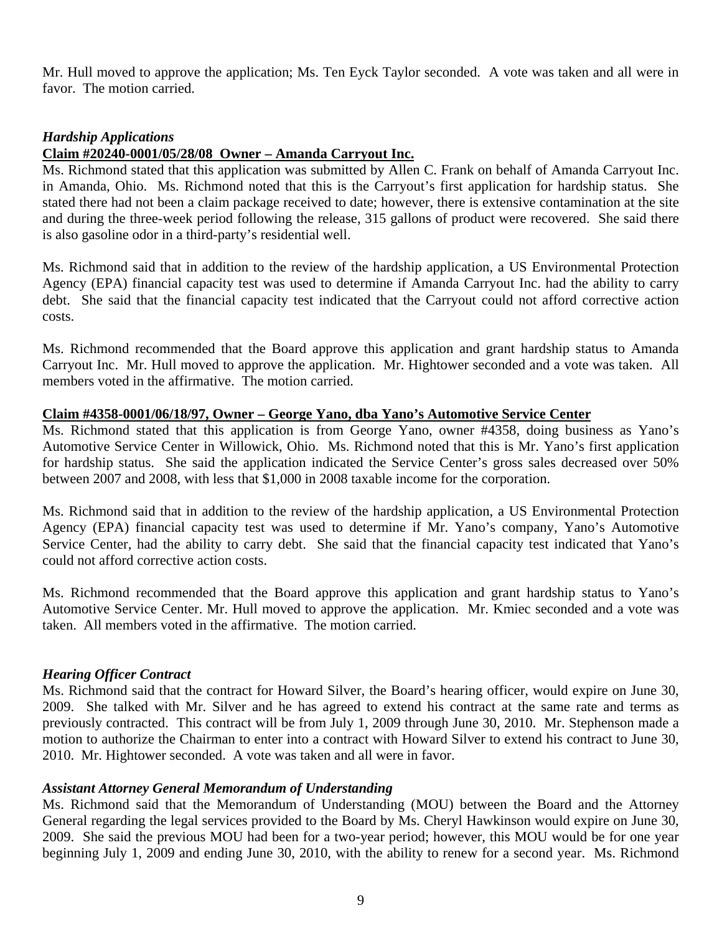Mr. Hull moved to approve the application; Ms. Ten Eyck Taylor seconded. A vote was taken and all were in favor. The motion carried.

# *Hardship Applications*

#### **Claim #20240-0001/05/28/08 Owner – Amanda Carryout Inc.**

Ms. Richmond stated that this application was submitted by Allen C. Frank on behalf of Amanda Carryout Inc. in Amanda, Ohio. Ms. Richmond noted that this is the Carryout's first application for hardship status. She stated there had not been a claim package received to date; however, there is extensive contamination at the site and during the three-week period following the release, 315 gallons of product were recovered. She said there is also gasoline odor in a third-party's residential well.

Ms. Richmond said that in addition to the review of the hardship application, a US Environmental Protection Agency (EPA) financial capacity test was used to determine if Amanda Carryout Inc. had the ability to carry debt. She said that the financial capacity test indicated that the Carryout could not afford corrective action costs.

Ms. Richmond recommended that the Board approve this application and grant hardship status to Amanda Carryout Inc. Mr. Hull moved to approve the application. Mr. Hightower seconded and a vote was taken. All members voted in the affirmative. The motion carried.

#### **Claim #4358-0001/06/18/97, Owner – George Yano, dba Yano's Automotive Service Center**

Ms. Richmond stated that this application is from George Yano, owner #4358, doing business as Yano's Automotive Service Center in Willowick, Ohio. Ms. Richmond noted that this is Mr. Yano's first application for hardship status. She said the application indicated the Service Center's gross sales decreased over 50% between 2007 and 2008, with less that \$1,000 in 2008 taxable income for the corporation.

Ms. Richmond said that in addition to the review of the hardship application, a US Environmental Protection Agency (EPA) financial capacity test was used to determine if Mr. Yano's company, Yano's Automotive Service Center, had the ability to carry debt. She said that the financial capacity test indicated that Yano's could not afford corrective action costs.

Ms. Richmond recommended that the Board approve this application and grant hardship status to Yano's Automotive Service Center. Mr. Hull moved to approve the application. Mr. Kmiec seconded and a vote was taken. All members voted in the affirmative. The motion carried.

#### *Hearing Officer Contract*

Ms. Richmond said that the contract for Howard Silver, the Board's hearing officer, would expire on June 30, 2009. She talked with Mr. Silver and he has agreed to extend his contract at the same rate and terms as previously contracted. This contract will be from July 1, 2009 through June 30, 2010. Mr. Stephenson made a motion to authorize the Chairman to enter into a contract with Howard Silver to extend his contract to June 30, 2010. Mr. Hightower seconded. A vote was taken and all were in favor.

#### *Assistant Attorney General Memorandum of Understanding*

Ms. Richmond said that the Memorandum of Understanding (MOU) between the Board and the Attorney General regarding the legal services provided to the Board by Ms. Cheryl Hawkinson would expire on June 30, 2009. She said the previous MOU had been for a two-year period; however, this MOU would be for one year beginning July 1, 2009 and ending June 30, 2010, with the ability to renew for a second year. Ms. Richmond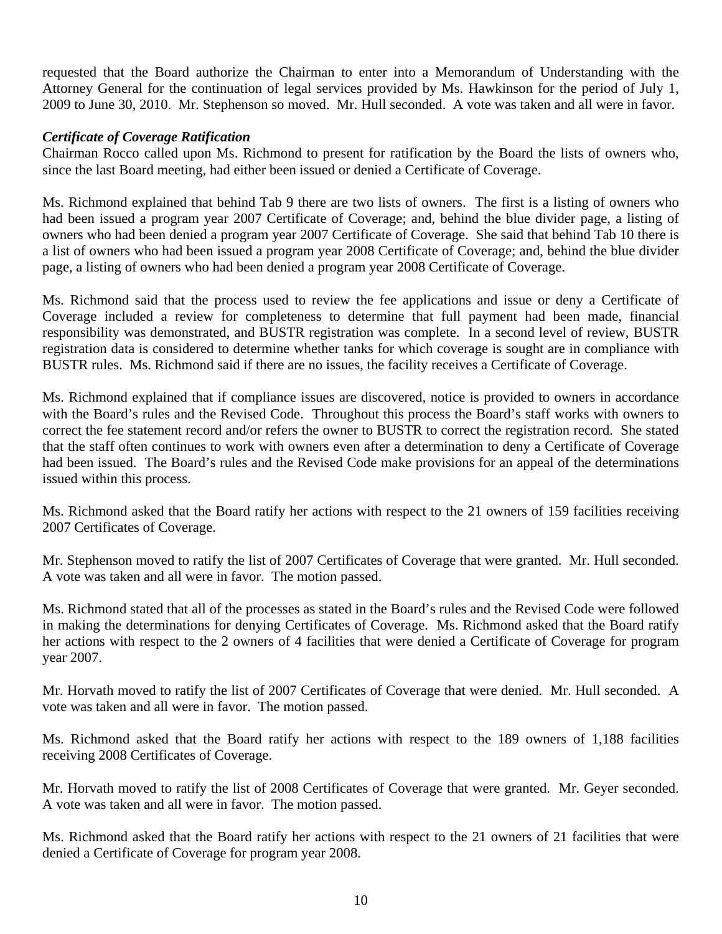requested that the Board authorize the Chairman to enter into a Memorandum of Understanding with the Attorney General for the continuation of legal services provided by Ms. Hawkinson for the period of July 1, 2009 to June 30, 2010. Mr. Stephenson so moved. Mr. Hull seconded. A vote was taken and all were in favor.

# *Certificate of Coverage Ratification*

Chairman Rocco called upon Ms. Richmond to present for ratification by the Board the lists of owners who, since the last Board meeting, had either been issued or denied a Certificate of Coverage.

Ms. Richmond explained that behind Tab 9 there are two lists of owners. The first is a listing of owners who had been issued a program year 2007 Certificate of Coverage; and, behind the blue divider page, a listing of owners who had been denied a program year 2007 Certificate of Coverage. She said that behind Tab 10 there is a list of owners who had been issued a program year 2008 Certificate of Coverage; and, behind the blue divider page, a listing of owners who had been denied a program year 2008 Certificate of Coverage.

Ms. Richmond said that the process used to review the fee applications and issue or deny a Certificate of Coverage included a review for completeness to determine that full payment had been made, financial responsibility was demonstrated, and BUSTR registration was complete. In a second level of review, BUSTR registration data is considered to determine whether tanks for which coverage is sought are in compliance with BUSTR rules. Ms. Richmond said if there are no issues, the facility receives a Certificate of Coverage.

Ms. Richmond explained that if compliance issues are discovered, notice is provided to owners in accordance with the Board's rules and the Revised Code. Throughout this process the Board's staff works with owners to correct the fee statement record and/or refers the owner to BUSTR to correct the registration record. She stated that the staff often continues to work with owners even after a determination to deny a Certificate of Coverage had been issued. The Board's rules and the Revised Code make provisions for an appeal of the determinations issued within this process.

Ms. Richmond asked that the Board ratify her actions with respect to the 21 owners of 159 facilities receiving 2007 Certificates of Coverage.

Mr. Stephenson moved to ratify the list of 2007 Certificates of Coverage that were granted. Mr. Hull seconded. A vote was taken and all were in favor. The motion passed.

Ms. Richmond stated that all of the processes as stated in the Board's rules and the Revised Code were followed in making the determinations for denying Certificates of Coverage. Ms. Richmond asked that the Board ratify her actions with respect to the 2 owners of 4 facilities that were denied a Certificate of Coverage for program year 2007.

Mr. Horvath moved to ratify the list of 2007 Certificates of Coverage that were denied. Mr. Hull seconded. A vote was taken and all were in favor. The motion passed.

Ms. Richmond asked that the Board ratify her actions with respect to the 189 owners of 1,188 facilities receiving 2008 Certificates of Coverage.

Mr. Horvath moved to ratify the list of 2008 Certificates of Coverage that were granted. Mr. Geyer seconded. A vote was taken and all were in favor. The motion passed.

Ms. Richmond asked that the Board ratify her actions with respect to the 21 owners of 21 facilities that were denied a Certificate of Coverage for program year 2008.